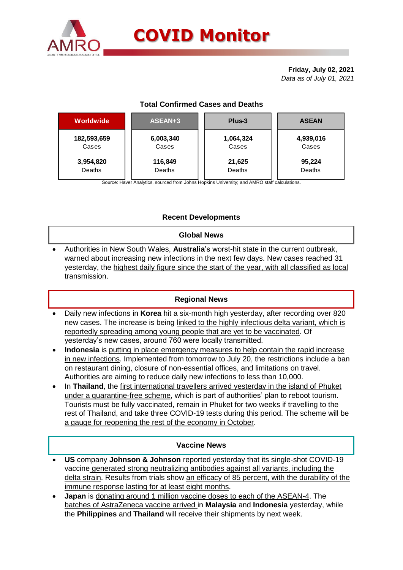

# **COVID Monitor**

**Friday, July 02, 2021** *Data as of July 01, 2021*

# **Total Confirmed Cases and Deaths**

| ASEAN+3   | Plus-3    | <b>ASEAN</b> |  |  |
|-----------|-----------|--------------|--|--|
| 6,003,340 | 1,064,324 | 4,939,016    |  |  |
| Cases     | Cases     | Cases        |  |  |
| 116,849   | 21,625    | 95,224       |  |  |
| Deaths    | Deaths    | Deaths       |  |  |
|           |           |              |  |  |

Source: Haver Analytics, sourced from Johns Hopkins University; and AMRO staff calculations.

# **Recent Developments**

#### **Global News**

 Authorities in New South Wales, **Australia**'s worst-hit state in the current outbreak, warned about increasing new infections in the next few days. New cases reached 31 yesterday, the highest daily figure since the start of the year, with all classified as local transmission.

### **Regional News**

- Daily new infections in **Korea** hit a six-month high yesterday, after recording over 820 new cases. The increase is being linked to the highly infectious delta variant, which is reportedly spreading among young people that are yet to be vaccinated. Of yesterday's new cases, around 760 were locally transmitted.
- **Indonesia** is putting in place emergency measures to help contain the rapid increase in new infections. Implemented from tomorrow to July 20, the restrictions include a ban on restaurant dining, closure of non-essential offices, and limitations on travel. Authorities are aiming to reduce daily new infections to less than 10,000.
- In **Thailand**, the first international travellers arrived yesterday in the island of Phuket under a quarantine-free scheme, which is part of authorities' plan to reboot tourism. Tourists must be fully vaccinated, remain in Phuket for two weeks if travelling to the rest of Thailand, and take three COVID-19 tests during this period. The scheme will be a gauge for reopening the rest of the economy in October.

### **Vaccine News**

- **US** company **Johnson & Johnson** reported yesterday that its single-shot COVID-19 vaccine generated strong neutralizing antibodies against all variants, including the delta strain. Results from trials show an efficacy of 85 percent, with the durability of the immune response lasting for at least eight months.
- **Japan** is donating around 1 million vaccine doses to each of the ASEAN-4. The batches of AstraZeneca vaccine arrived in **Malaysia** and **Indonesia** yesterday, while the **Philippines** and **Thailand** will receive their shipments by next week.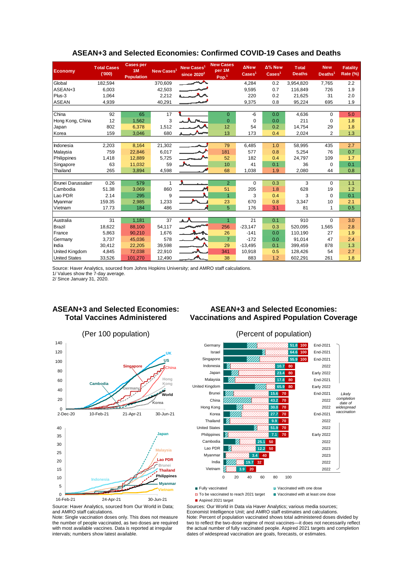| <b>Economy</b>           | <b>Total Cases</b><br>(000) | <b>Cases per</b><br>1M<br><b>Population</b> | New Cases <sup>1</sup> | New Cases <sup>1</sup><br>since $2020^2$ | <b>New Cases</b><br>per 1M<br>Pop. <sup>1</sup> | <b>ANew</b><br>$\text{Case} \text{s}^1$ | $\Delta$ % New<br>$\text{Case} \text{s}^1$ | <b>Total</b><br><b>Deaths</b> | <b>New</b><br>Deaths <sup>1</sup> | <b>Fatality</b><br><b>Rate (%)</b> |
|--------------------------|-----------------------------|---------------------------------------------|------------------------|------------------------------------------|-------------------------------------------------|-----------------------------------------|--------------------------------------------|-------------------------------|-----------------------------------|------------------------------------|
| Global                   | 182,594                     |                                             | 370,609                | $\overline{\phantom{a}}$                 |                                                 | 4,284                                   | 0.2                                        | 3,954,820                     | 7,765                             | 2.2                                |
| ASEAN+3                  | 6,003                       |                                             | 42,503                 |                                          |                                                 | 9,595                                   | 0.7                                        | 116.849                       | 726                               | 1.9                                |
| Plus-3                   | 1,064                       |                                             | 2,212                  | معيسه                                    |                                                 | 220                                     | 0.2                                        | 21,625                        | 31                                | 2.0                                |
| <b>ASEAN</b>             | 4,939                       |                                             | 40,291                 |                                          |                                                 | 9,375                                   | 0.8                                        | 95,224                        | 695                               | 1.9                                |
|                          |                             |                                             |                        |                                          |                                                 |                                         |                                            |                               |                                   |                                    |
| China                    | 92                          | 65                                          | 17                     |                                          | $\Omega$                                        | $-6$                                    | 0.0                                        | 4,636                         | $\Omega$                          | 5.0                                |
| Hong Kong, China         | 12                          | 1,562                                       | 3                      |                                          | $\overline{0}$                                  | $\Omega$                                | 0.0                                        | 211                           | $\mathbf 0$                       | 1.8                                |
| Japan                    | 802                         | 6,378                                       | 1,512                  |                                          | 12                                              | 54                                      | 0.2                                        | 14,754                        | 29                                | 1.8                                |
| Korea                    | 159                         | 3,046                                       | 680                    |                                          | 13                                              | 173                                     | 0.4                                        | 2,024                         | $\overline{2}$                    | 1.3                                |
|                          |                             |                                             |                        |                                          |                                                 |                                         |                                            |                               |                                   |                                    |
| Indonesia                | 2,203                       | 8,164                                       | 21,302                 |                                          | 79                                              | 6,485                                   | 1.0                                        | 58,995                        | 435                               | 2.7                                |
| Malaysia                 | 759                         | 22,846                                      | 6,017                  |                                          | 181                                             | 577                                     | 0.8                                        | 5,254                         | 76                                | 0.7                                |
| Philippines              | 1,418                       | 12,889                                      | 5,725                  |                                          | 52                                              | 182                                     | 0.4                                        | 24,797                        | 109                               | 1.7                                |
| Singapore                | 63                          | 11,032                                      | 59                     | А.                                       | 10                                              | 41                                      | 0.1                                        | 36                            | $\mathbf 0$                       | 0.1                                |
| Thailand                 | 265                         | 3,894                                       | 4,598                  |                                          | 68                                              | 1,038                                   | 1.9                                        | 2,080                         | 44                                | 0.8                                |
|                          |                             |                                             |                        |                                          |                                                 |                                         |                                            |                               |                                   |                                    |
| <b>Brunei Darussalam</b> | 0.26                        | 579                                         | 1                      |                                          | $\overline{2}$                                  | 0                                       | 0.3                                        | 3                             | $\Omega$                          | 1.1                                |
| Cambodia                 | 51.38                       | 3,069                                       | 860                    |                                          | 51                                              | 205                                     | 1.8                                        | 628                           | 19                                | 1.2                                |
| Lao PDR                  | 2.14                        | 295                                         | 9                      |                                          | $\overline{1}$                                  | 3                                       | 0.4                                        | 3                             | $\Omega$                          | 0.1                                |
| Myanmar                  | 159.35                      | 2,985                                       | 1,233                  |                                          | 23                                              | 670                                     | 0.8                                        | 3,347                         | 10                                | 2.1                                |
| Vietnam                  | 17.73                       | 184                                         | 486                    |                                          | 5                                               | 176                                     | 3.1                                        | 81                            | 1                                 | 0.5                                |
|                          |                             |                                             |                        |                                          |                                                 |                                         |                                            |                               |                                   |                                    |
| Australia                | 31                          | 1,181                                       | 37                     | ᅩ                                        | $\overline{1}$                                  | 21                                      | 0.1                                        | 910                           | $\Omega$                          | 3.0                                |
| Brazil                   | 18,622                      | 88,100                                      | 54,117                 |                                          | 256                                             | $-23,147$                               | 0.3                                        | 520.095                       | 1,565                             | 2.8                                |
| France                   | 5,863                       | 90.210                                      | 1,676                  |                                          | 26                                              | $-141$                                  | 0.0                                        | 110.190                       | 27                                | 1.9                                |
| Germany                  | 3,737                       | 45,036                                      | 578                    | <b>A</b>                                 | $\overline{7}$                                  | $-172$                                  | 0.0                                        | 91.014                        | 47                                | 2.4                                |
| India                    | 30,412                      | 22,205                                      | 39,598                 |                                          | 29                                              | $-13,495$                               | 0.1                                        | 399,459                       | 878                               | 1.3                                |
| United Kingdom           | 4,845                       | 72,038                                      | 22,910                 |                                          | 341                                             | 10,918                                  | 0.5                                        | 128,426                       | 54                                | 2.7                                |
| <b>United States</b>     | 33,526                      | 101,270                                     | 12,490                 |                                          | 38                                              | 883                                     | 1.2                                        | 602,291                       | 261                               | 1.8                                |

(Per 100 population) (Percent of population)

### **ASEAN+3 and Selected Economies: Confirmed COVID-19 Cases and Deaths**

Source: Haver Analytics, sourced from Johns Hopkins University; and AMRO staff calculations.

1/ Values show the 7-day average.

2/ Since January 31, 2020.

## **ASEAN+3 and Selected Economies: Total Vaccines Administered**

# **ASEAN+3 and Selected Economies: Vaccinations and Aspired Population Coverage**





**Fully vaccinated Vaccinated Vaccinated View Vaccinated with one dose** 

 $\Box$  To be vaccinated to reach 2021 target  $\Box$  Vaccinated with at least one dose

■ Aspired 2021 target

Source: Haver Analytics, sourced from Our World in Data; and AMRO staff calculations.

Note: Single vaccination doses only. This does not measure the number of people vaccinated, as two doses are required with most available vaccines. Data is reported at irregular intervals; numbers show latest available.

Economist Intelligence Unit; and AMRO staff estimates and calculations. Note: Percent of population vaccinated shows total administered doses divided by two to reflect the two-dose regime of most vaccines—it does not necessarily reflect the actual number of fully vaccinated people. Aspired 2021 targets and completion dates of widespread vaccination are goals, forecasts, or estimates.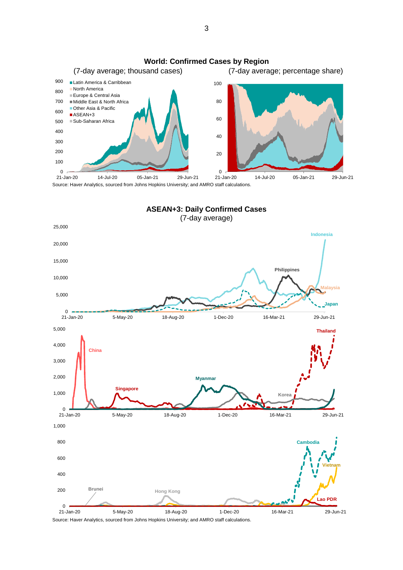



Source: Haver Analytics, sourced from Johns Hopkins University; and AMRO staff calculations.

3